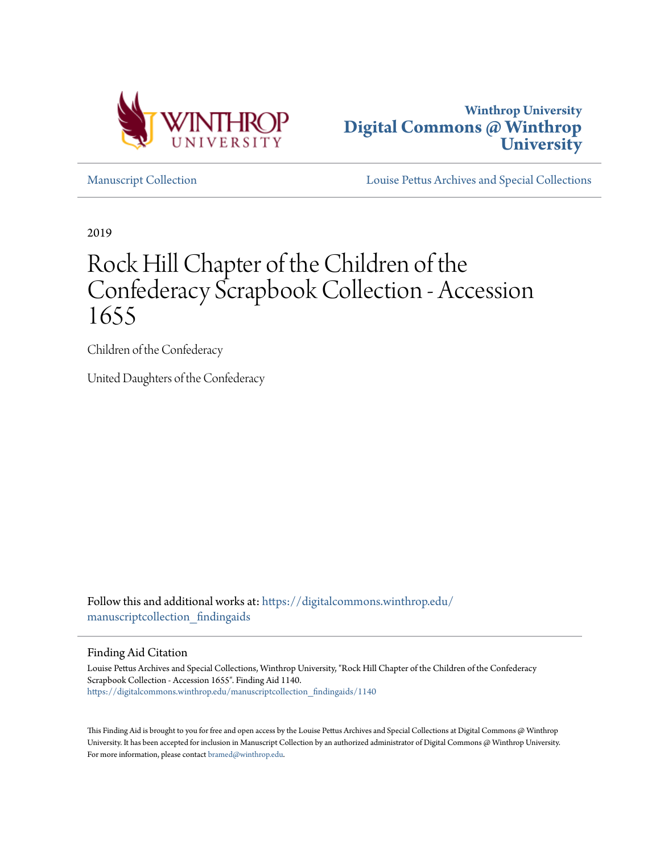



[Manuscript Collection](https://digitalcommons.winthrop.edu/manuscriptcollection_findingaids?utm_source=digitalcommons.winthrop.edu%2Fmanuscriptcollection_findingaids%2F1140&utm_medium=PDF&utm_campaign=PDFCoverPages) [Louise Pettus Archives and Special Collections](https://digitalcommons.winthrop.edu/pettus_archives?utm_source=digitalcommons.winthrop.edu%2Fmanuscriptcollection_findingaids%2F1140&utm_medium=PDF&utm_campaign=PDFCoverPages)

2019

# Rock Hill Chapter of the Children of the Confederacy Scrapbook Collection - Accession 1655

Children of the Confederacy

United Daughters of the Confederacy

Follow this and additional works at: [https://digitalcommons.winthrop.edu/](https://digitalcommons.winthrop.edu/manuscriptcollection_findingaids?utm_source=digitalcommons.winthrop.edu%2Fmanuscriptcollection_findingaids%2F1140&utm_medium=PDF&utm_campaign=PDFCoverPages) manuscriptcollection findingaids

Finding Aid Citation

Louise Pettus Archives and Special Collections, Winthrop University, "Rock Hill Chapter of the Children of the Confederacy Scrapbook Collection - Accession 1655". Finding Aid 1140. [https://digitalcommons.winthrop.edu/manuscriptcollection\\_findingaids/1140](https://digitalcommons.winthrop.edu/manuscriptcollection_findingaids/1140?utm_source=digitalcommons.winthrop.edu%2Fmanuscriptcollection_findingaids%2F1140&utm_medium=PDF&utm_campaign=PDFCoverPages)

This Finding Aid is brought to you for free and open access by the Louise Pettus Archives and Special Collections at Digital Commons @ Winthrop University. It has been accepted for inclusion in Manuscript Collection by an authorized administrator of Digital Commons @ Winthrop University. For more information, please contact [bramed@winthrop.edu.](mailto:bramed@winthrop.edu)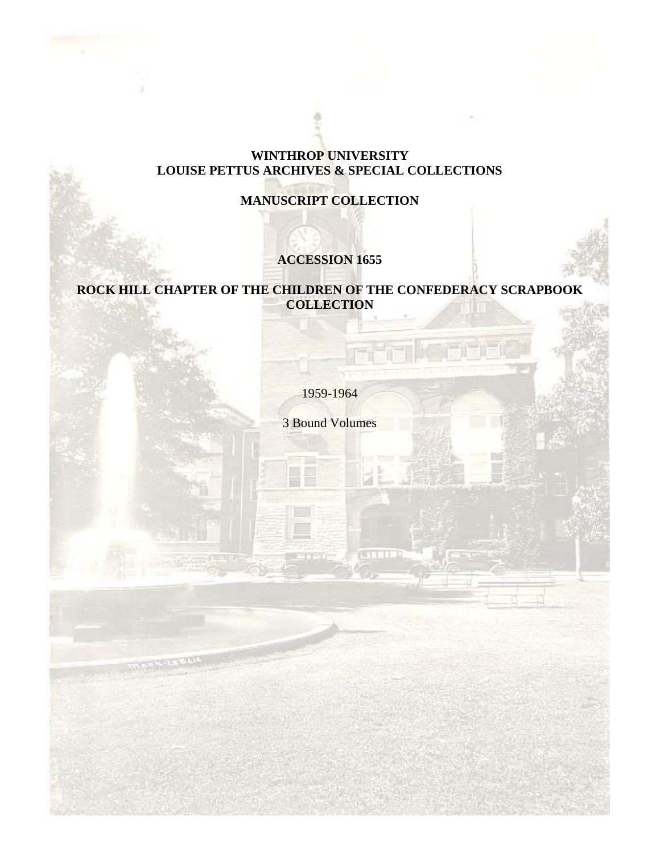## **WINTHROP UNIVERSITY LOUISE PETTUS ARCHIVES & SPECIAL COLLECTIONS**

## **MANUSCRIPT COLLECTION**

# **ACCESSION 1655**

## **ROCK HILL CHAPTER OF THE CHILDREN OF THE CONFEDERACY SCRAPBOOK COLLECTION**

1959-1964

3 Bound Volumes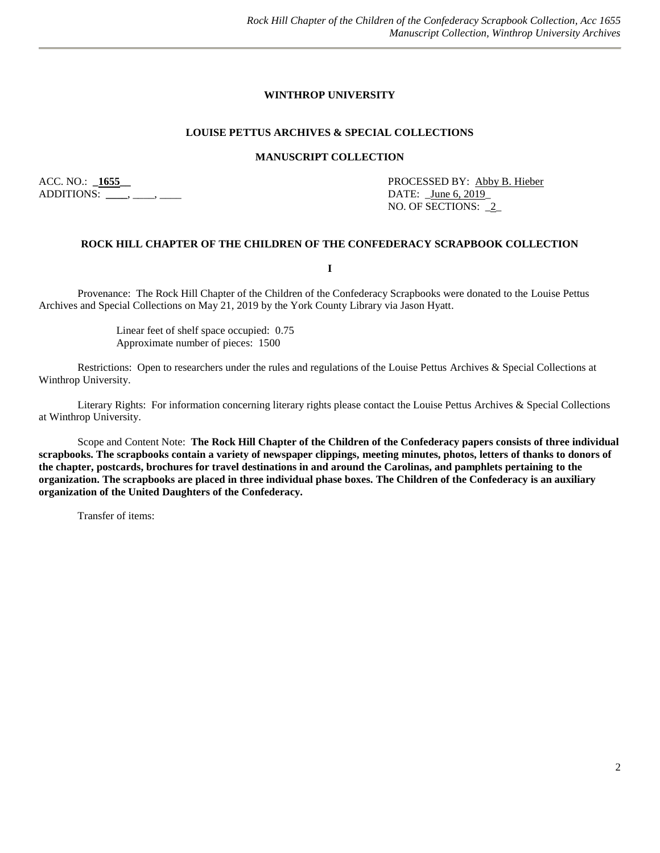#### **WINTHROP UNIVERSITY**

#### **LOUISE PETTUS ARCHIVES & SPECIAL COLLECTIONS**

#### **MANUSCRIPT COLLECTION**

ADDITIONS: \_\_\_\_, \_\_\_\_, \_\_\_\_\_

ACC. NO.: **\_1655\_\_** PROCESSED BY: Abby B. Hieber NO. OF SECTIONS: \_2\_

#### **ROCK HILL CHAPTER OF THE CHILDREN OF THE CONFEDERACY SCRAPBOOK COLLECTION**

**I**

Provenance: The Rock Hill Chapter of the Children of the Confederacy Scrapbooks were donated to the Louise Pettus Archives and Special Collections on May 21, 2019 by the York County Library via Jason Hyatt.

> Linear feet of shelf space occupied: 0.75 Approximate number of pieces: 1500

Restrictions: Open to researchers under the rules and regulations of the Louise Pettus Archives & Special Collections at Winthrop University.

Literary Rights: For information concerning literary rights please contact the Louise Pettus Archives & Special Collections at Winthrop University.

Scope and Content Note: **The Rock Hill Chapter of the Children of the Confederacy papers consists of three individual scrapbooks. The scrapbooks contain a variety of newspaper clippings, meeting minutes, photos, letters of thanks to donors of the chapter, postcards, brochures for travel destinations in and around the Carolinas, and pamphlets pertaining to the organization. The scrapbooks are placed in three individual phase boxes. The Children of the Confederacy is an auxiliary organization of the United Daughters of the Confederacy.** 

Transfer of items: